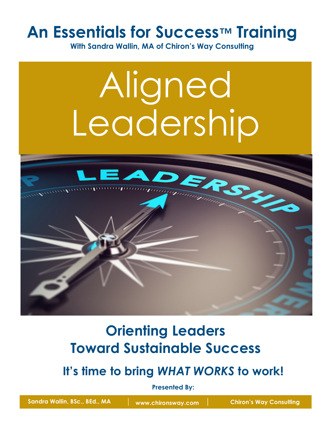## **An Essentials for Success™ Training**

**With Sandra Wallin, MA of Chiron's Way Consulting**

# Aligned Leadership



## **Orienting Leaders Toward Sustainable Success**

**It's time to bring** *WHAT WORKS* **to work!**

**Presented By:**

Sandra Wallin, BSc., BEd., MA Www.chironsway.com **Chiron's Way Consulting**